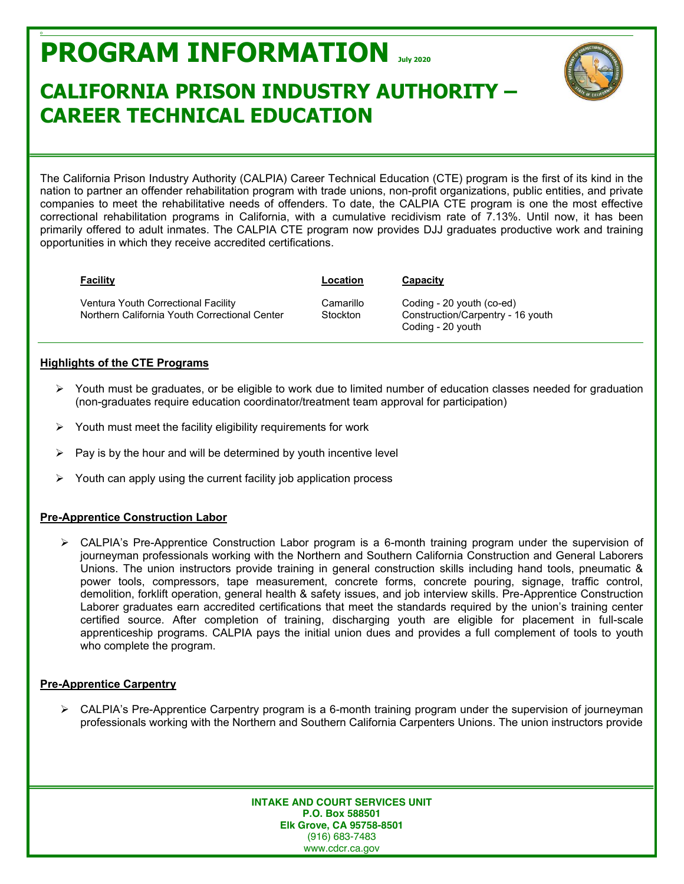# **PROGRAM INFORMATION July <sup>2020</sup>**

## **CALIFORNIA PRISON INDUSTRY AUTHORITY – CAREER TECHNICAL EDUCATION**



The California Prison Industry Authority (CALPIA) Career Technical Education (CTE) program is the first of its kind in the nation to partner an offender rehabilitation program with trade unions, non-profit organizations, public entities, and private companies to meet the rehabilitative needs of offenders. To date, the CALPIA CTE program is one the most effective correctional rehabilitation programs in California, with a cumulative recidivism rate of 7.13%. Until now, it has been primarily offered to adult inmates. The CALPIA CTE program now provides DJJ graduates productive work and training opportunities in which they receive accredited certifications.

| <b>Facility</b>                                                                      | Location              | Capacity                                                                            |
|--------------------------------------------------------------------------------------|-----------------------|-------------------------------------------------------------------------------------|
| Ventura Youth Correctional Facility<br>Northern California Youth Correctional Center | Camarillo<br>Stockton | Coding - 20 youth (co-ed)<br>Construction/Carpentry - 16 youth<br>Coding - 20 youth |

#### **Highlights of the CTE Programs**

o

- $\triangleright$  Youth must be graduates, or be eligible to work due to limited number of education classes needed for graduation (non-graduates require education coordinator/treatment team approval for participation)
- ¾ Youth must meet the facility eligibility requirements for work
- Pay is by the hour and will be determined by youth incentive level
- $\triangleright$  Youth can apply using the current facility job application process

#### **Pre-Apprentice Construction Labor**

 $\triangleright$  CALPIA's Pre-Apprentice Construction Labor program is a 6-month training program under the supervision of journeyman professionals working with the Northern and Southern California Construction and General Laborers Unions. The union instructors provide training in general construction skills including hand tools, pneumatic & power tools, compressors, tape measurement, concrete forms, concrete pouring, signage, traffic control, demolition, forklift operation, general health & safety issues, and job interview skills. Pre-Apprentice Construction Laborer graduates earn accredited certifications that meet the standards required by the union's training center certified source. After completion of training, discharging youth are eligible for placement in full-scale apprenticeship programs. CALPIA pays the initial union dues and provides a full complement of tools to youth who complete the program.

#### **Pre-Apprentice Carpentry**

 $\triangleright$  CALPIA's Pre-Apprentice Carpentry program is a 6-month training program under the supervision of journeyman professionals working with the Northern and Southern California Carpenters Unions. The union instructors provide

> **INTAKE AND COURT SERVICES UNIT P.O. Box 588501 Elk Grove, CA 95758-8501** (916) 683-7483 www.cdcr.ca.gov